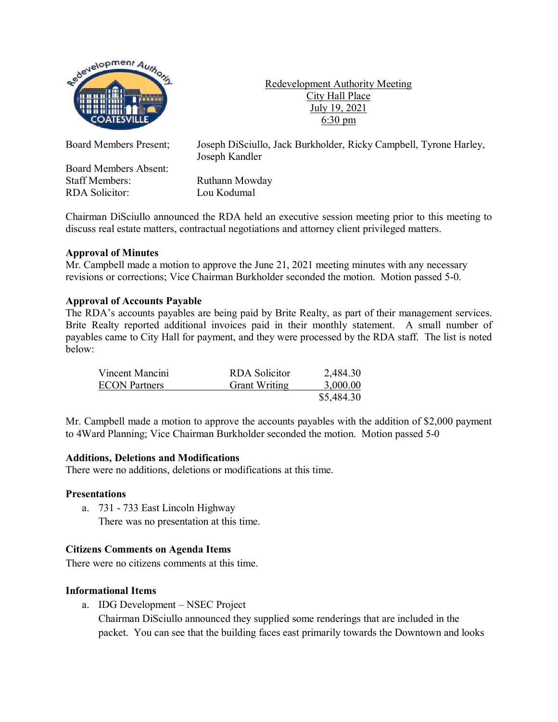

Redevelopment Authority Meeting City Hall Place July 19, 2021 6:30 pm

Board Members Absent: Staff Members: Ruthann Mowday RDA Solicitor: Lou Kodumal

Board Members Present; Joseph DiSciullo, Jack Burkholder, Ricky Campbell, Tyrone Harley, Joseph Kandler

Chairman DiSciullo announced the RDA held an executive session meeting prior to this meeting to discuss real estate matters, contractual negotiations and attorney client privileged matters.

### **Approval of Minutes**

Mr. Campbell made a motion to approve the June 21, 2021 meeting minutes with any necessary revisions or corrections; Vice Chairman Burkholder seconded the motion. Motion passed 5-0.

### **Approval of Accounts Payable**

The RDA's accounts payables are being paid by Brite Realty, as part of their management services. Brite Realty reported additional invoices paid in their monthly statement. A small number of payables came to City Hall for payment, and they were processed by the RDA staff. The list is noted below:

| Vincent Mancini      | RDA Solicitor        | 2,484.30   |
|----------------------|----------------------|------------|
| <b>ECON</b> Partners | <b>Grant Writing</b> | 3,000.00   |
|                      |                      | \$5,484.30 |

Mr. Campbell made a motion to approve the accounts payables with the addition of \$2,000 payment to 4Ward Planning; Vice Chairman Burkholder seconded the motion. Motion passed 5-0

### **Additions, Deletions and Modifications**

There were no additions, deletions or modifications at this time.

### **Presentations**

a. 731 - 733 East Lincoln Highway There was no presentation at this time.

# **Citizens Comments on Agenda Items**

There were no citizens comments at this time.

# **Informational Items**

a. IDG Development – NSEC Project

Chairman DiSciullo announced they supplied some renderings that are included in the packet. You can see that the building faces east primarily towards the Downtown and looks